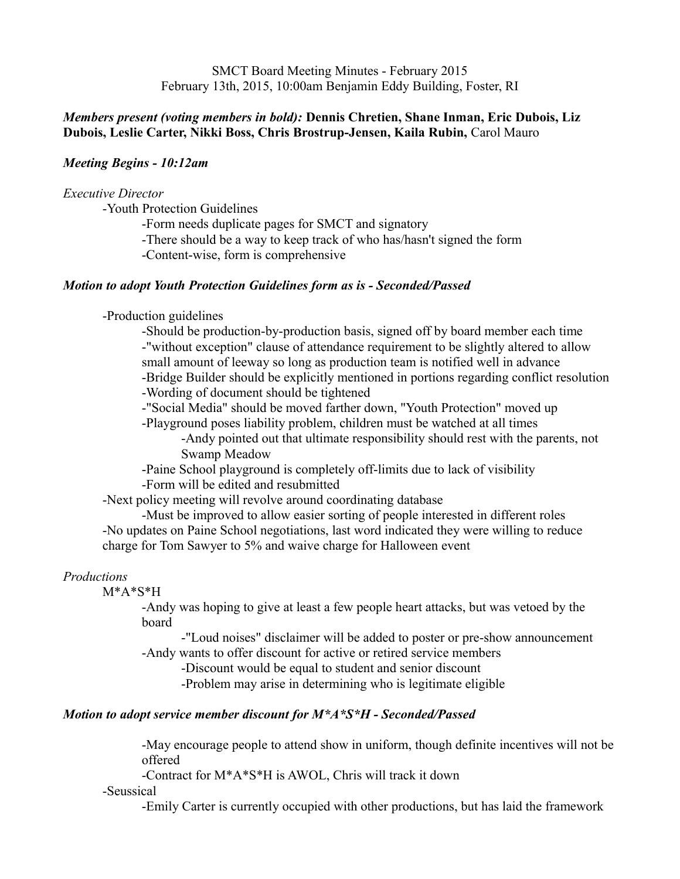SMCT Board Meeting Minutes - February 2015 February 13th, 2015, 10:00am Benjamin Eddy Building, Foster, RI

## *Members present (voting members in bold):* **Dennis Chretien, Shane Inman, Eric Dubois, Liz Dubois, Leslie Carter, Nikki Boss, Chris Brostrup-Jensen, Kaila Rubin,** Carol Mauro

## *Meeting Begins - 10:12am*

#### *Executive Director*

-Youth Protection Guidelines

-Form needs duplicate pages for SMCT and signatory

-There should be a way to keep track of who has/hasn't signed the form

-Content-wise, form is comprehensive

#### *Motion to adopt Youth Protection Guidelines form as is - Seconded/Passed*

-Production guidelines

-Should be production-by-production basis, signed off by board member each time -"without exception" clause of attendance requirement to be slightly altered to allow small amount of leeway so long as production team is notified well in advance -Bridge Builder should be explicitly mentioned in portions regarding conflict resolution

-Wording of document should be tightened

-"Social Media" should be moved farther down, "Youth Protection" moved up

-Playground poses liability problem, children must be watched at all times

-Andy pointed out that ultimate responsibility should rest with the parents, not Swamp Meadow

-Paine School playground is completely off-limits due to lack of visibility -Form will be edited and resubmitted

-Next policy meeting will revolve around coordinating database

-Must be improved to allow easier sorting of people interested in different roles -No updates on Paine School negotiations, last word indicated they were willing to reduce charge for Tom Sawyer to 5% and waive charge for Halloween event

#### *Productions*

#### M\*A\*S\*H

-Andy was hoping to give at least a few people heart attacks, but was vetoed by the board

-"Loud noises" disclaimer will be added to poster or pre-show announcement -Andy wants to offer discount for active or retired service members

-Discount would be equal to student and senior discount

-Problem may arise in determining who is legitimate eligible

### *Motion to adopt service member discount for M\*A\*S\*H - Seconded/Passed*

-May encourage people to attend show in uniform, though definite incentives will not be offered

-Contract for M\*A\*S\*H is AWOL, Chris will track it down

-Seussical

-Emily Carter is currently occupied with other productions, but has laid the framework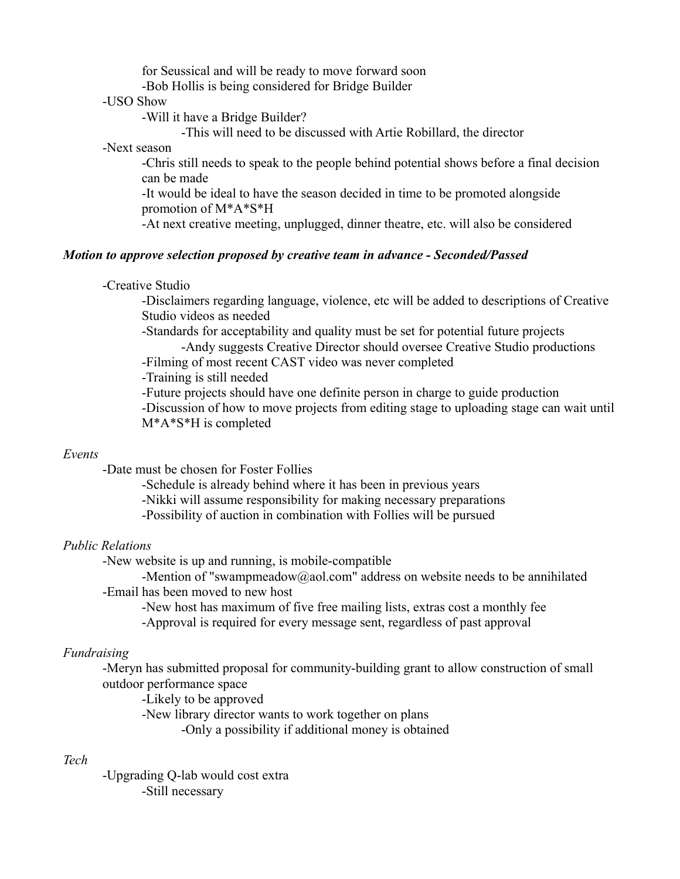for Seussical and will be ready to move forward soon

-Bob Hollis is being considered for Bridge Builder

#### -USO Show

-Will it have a Bridge Builder?

-This will need to be discussed with Artie Robillard, the director

## -Next season

-Chris still needs to speak to the people behind potential shows before a final decision can be made

-It would be ideal to have the season decided in time to be promoted alongside promotion of M\*A\*S\*H

-At next creative meeting, unplugged, dinner theatre, etc. will also be considered

## *Motion to approve selection proposed by creative team in advance - Seconded/Passed*

#### -Creative Studio

-Disclaimers regarding language, violence, etc will be added to descriptions of Creative Studio videos as needed

-Standards for acceptability and quality must be set for potential future projects

-Andy suggests Creative Director should oversee Creative Studio productions

-Filming of most recent CAST video was never completed

-Training is still needed

-Future projects should have one definite person in charge to guide production -Discussion of how to move projects from editing stage to uploading stage can wait until M\*A\*S\*H is completed

## *Events*

-Date must be chosen for Foster Follies

-Schedule is already behind where it has been in previous years -Nikki will assume responsibility for making necessary preparations -Possibility of auction in combination with Follies will be pursued

## *Public Relations*

-New website is up and running, is mobile-compatible

-Mention of "swampmeadow@aol.com" address on website needs to be annihilated -Email has been moved to new host

-New host has maximum of five free mailing lists, extras cost a monthly fee -Approval is required for every message sent, regardless of past approval

# *Fundraising*

-Meryn has submitted proposal for community-building grant to allow construction of small outdoor performance space

-Likely to be approved

-New library director wants to work together on plans

-Only a possibility if additional money is obtained

# *Tech*

-Upgrading Q-lab would cost extra -Still necessary